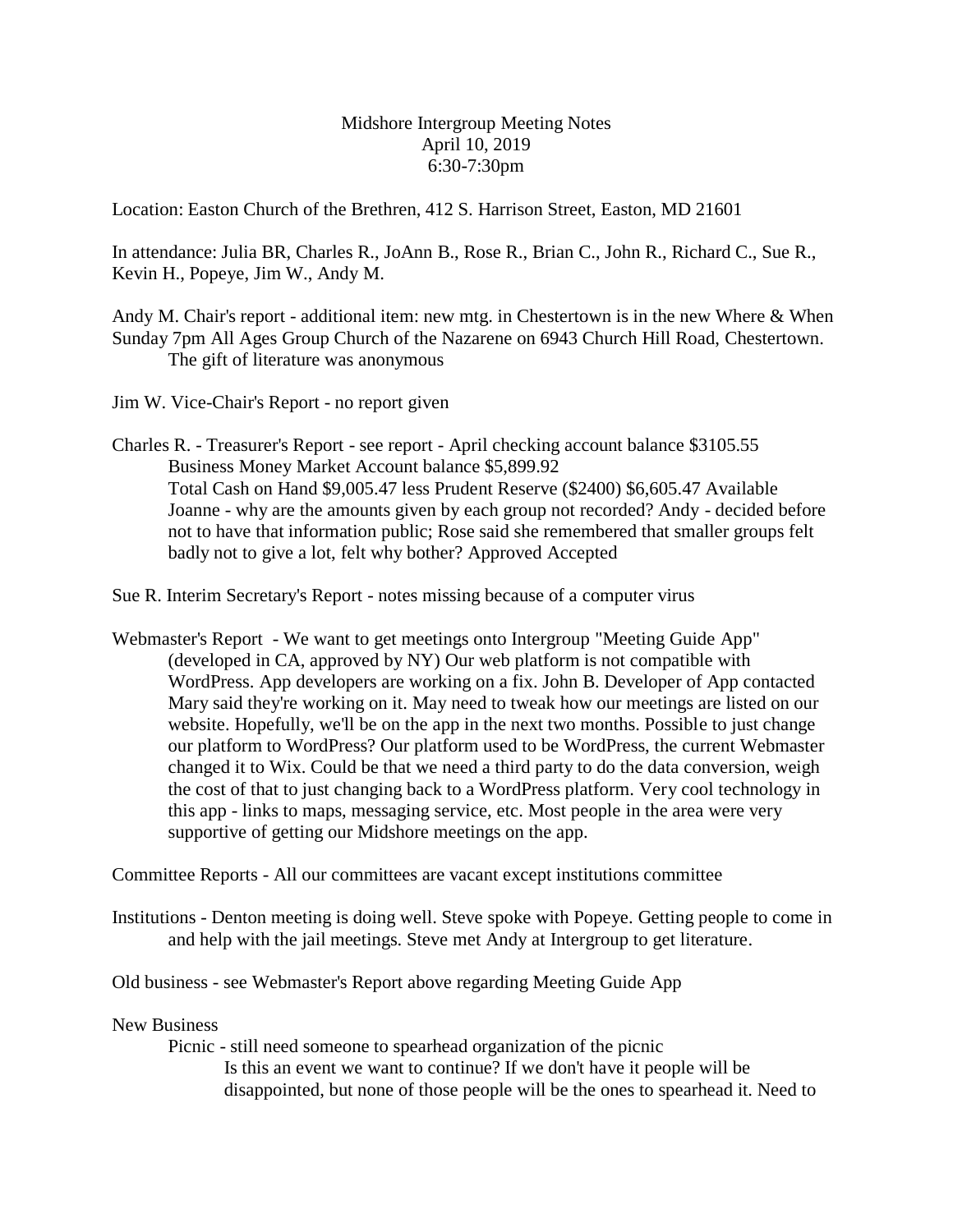Midshore Intergroup Meeting Notes April 10, 2019 6:30-7:30pm

Location: Easton Church of the Brethren, 412 S. Harrison Street, Easton, MD 21601

In attendance: Julia BR, Charles R., JoAnn B., Rose R., Brian C., John R., Richard C., Sue R., Kevin H., Popeye, Jim W., Andy M.

Andy M. Chair's report - additional item: new mtg. in Chestertown is in the new Where & When Sunday 7pm All Ages Group Church of the Nazarene on 6943 Church Hill Road, Chestertown. The gift of literature was anonymous

Jim W. Vice-Chair's Report - no report given

Charles R. - Treasurer's Report - see report - April checking account balance \$3105.55 Business Money Market Account balance \$5,899.92 Total Cash on Hand \$9,005.47 less Prudent Reserve (\$2400) \$6,605.47 Available Joanne - why are the amounts given by each group not recorded? Andy - decided before not to have that information public; Rose said she remembered that smaller groups felt badly not to give a lot, felt why bother? Approved Accepted

Sue R. Interim Secretary's Report - notes missing because of a computer virus

Webmaster's Report - We want to get meetings onto Intergroup "Meeting Guide App" (developed in CA, approved by NY) Our web platform is not compatible with WordPress. App developers are working on a fix. John B. Developer of App contacted Mary said they're working on it. May need to tweak how our meetings are listed on our website. Hopefully, we'll be on the app in the next two months. Possible to just change our platform to WordPress? Our platform used to be WordPress, the current Webmaster changed it to Wix. Could be that we need a third party to do the data conversion, weigh the cost of that to just changing back to a WordPress platform. Very cool technology in this app - links to maps, messaging service, etc. Most people in the area were very supportive of getting our Midshore meetings on the app.

Committee Reports - All our committees are vacant except institutions committee

Institutions - Denton meeting is doing well. Steve spoke with Popeye. Getting people to come in and help with the jail meetings. Steve met Andy at Intergroup to get literature.

Old business - see Webmaster's Report above regarding Meeting Guide App

New Business

Picnic - still need someone to spearhead organization of the picnic Is this an event we want to continue? If we don't have it people will be disappointed, but none of those people will be the ones to spearhead it. Need to